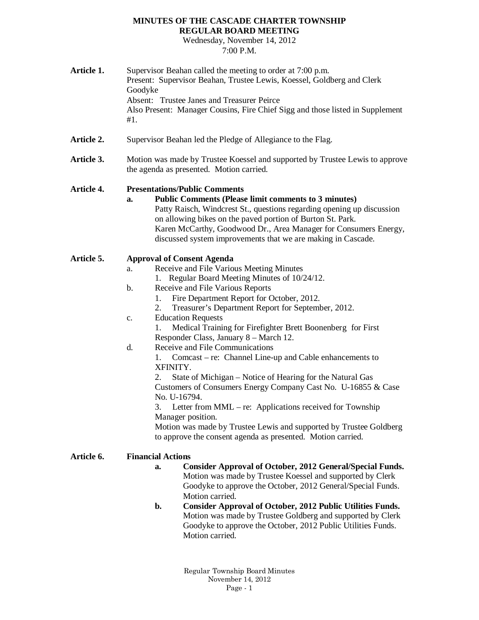#### **MINUTES OF THE CASCADE CHARTER TOWNSHIP REGULAR BOARD MEETING**

Wednesday, November 14, 2012 7:00 P.M.

- **Article 1.** Supervisor Beahan called the meeting to order at 7:00 p.m. Present: Supervisor Beahan, Trustee Lewis, Koessel, Goldberg and Clerk Goodyke Absent: Trustee Janes and Treasurer Peirce Also Present: Manager Cousins, Fire Chief Sigg and those listed in Supplement #1.
- Article 2. Supervisor Beahan led the Pledge of Allegiance to the Flag.
- Article 3. Motion was made by Trustee Koessel and supported by Trustee Lewis to approve the agenda as presented. Motion carried.

# **Article 4. Presentations/Public Comments**

**a. Public Comments (Please limit comments to 3 minutes)** Patty Raisch, Windcrest St., questions regarding opening up discussion on allowing bikes on the paved portion of Burton St. Park. Karen McCarthy, Goodwood Dr., Area Manager for Consumers Energy, discussed system improvements that we are making in Cascade.

# **Article 5. Approval of Consent Agenda**

- a. Receive and File Various Meeting Minutes
	- 1. Regular Board Meeting Minutes of 10/24/12.
- b. Receive and File Various Reports
	- 1. Fire Department Report for October, 2012.
	- 2. Treasurer's Department Report for September, 2012.
- c. Education Requests

1. Medical Training for Firefighter Brett Boonenberg for First Responder Class, January 8 – March 12.

d. Receive and File Communications

1. Comcast – re: Channel Line-up and Cable enhancements to XFINITY.

2. State of Michigan – Notice of Hearing for the Natural Gas Customers of Consumers Energy Company Cast No. U-16855 & Case No. U-16794.

3. Letter from MML – re: Applications received for Township Manager position.

Motion was made by Trustee Lewis and supported by Trustee Goldberg to approve the consent agenda as presented. Motion carried.

## **Article 6. Financial Actions**

# **a. Consider Approval of October, 2012 General/Special Funds.**

Motion was made by Trustee Koessel and supported by Clerk Goodyke to approve the October, 2012 General/Special Funds. Motion carried.

**b. Consider Approval of October, 2012 Public Utilities Funds.** Motion was made by Trustee Goldberg and supported by Clerk Goodyke to approve the October, 2012 Public Utilities Funds. Motion carried.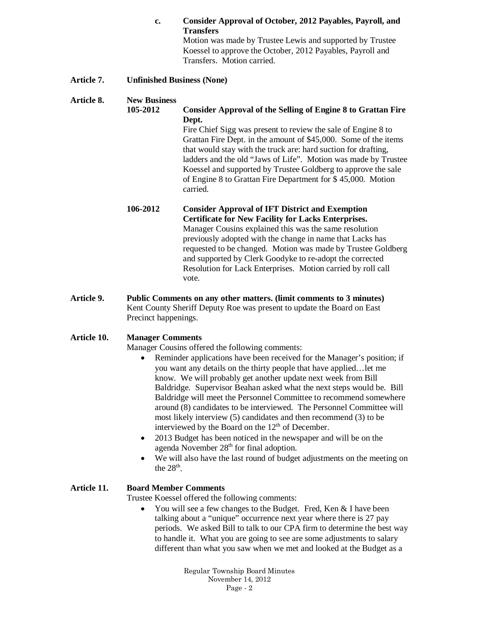**c. Consider Approval of October, 2012 Payables, Payroll, and Transfers**

Motion was made by Trustee Lewis and supported by Trustee Koessel to approve the October, 2012 Payables, Payroll and Transfers. Motion carried.

## **Article 7. Unfinished Business (None)**

#### **Article 8. New Business**

**105-2012 Consider Approval of the Selling of Engine 8 to Grattan Fire Dept.**

Fire Chief Sigg was present to review the sale of Engine 8 to Grattan Fire Dept. in the amount of \$45,000. Some of the items that would stay with the truck are: hard suction for drafting, ladders and the old "Jaws of Life". Motion was made by Trustee Koessel and supported by Trustee Goldberg to approve the sale of Engine 8 to Grattan Fire Department for \$ 45,000. Motion carried.

**106-2012 Consider Approval of IFT District and Exemption Certificate for New Facility for Lacks Enterprises.** Manager Cousins explained this was the same resolution previously adopted with the change in name that Lacks has requested to be changed. Motion was made by Trustee Goldberg and supported by Clerk Goodyke to re-adopt the corrected Resolution for Lack Enterprises. Motion carried by roll call vote.

**Article 9. Public Comments on any other matters. (limit comments to 3 minutes)** Kent County Sheriff Deputy Roe was present to update the Board on East Precinct happenings.

## **Article 10. Manager Comments**

Manager Cousins offered the following comments:

- Reminder applications have been received for the Manager's position; if you want any details on the thirty people that have applied…let me know. We will probably get another update next week from Bill Baldridge. Supervisor Beahan asked what the next steps would be. Bill Baldridge will meet the Personnel Committee to recommend somewhere around (8) candidates to be interviewed. The Personnel Committee will most likely interview (5) candidates and then recommend (3) to be interviewed by the Board on the  $12<sup>th</sup>$  of December.
- 2013 Budget has been noticed in the newspaper and will be on the agenda November 28<sup>th</sup> for final adoption.
- We will also have the last round of budget adjustments on the meeting on the  $28<sup>th</sup>$ .

#### **Article 11. Board Member Comments**

Trustee Koessel offered the following comments:

• You will see a few changes to the Budget. Fred, Ken & I have been talking about a "unique" occurrence next year where there is 27 pay periods. We asked Bill to talk to our CPA firm to determine the best way to handle it. What you are going to see are some adjustments to salary different than what you saw when we met and looked at the Budget as a

> Regular Township Board Minutes November 14, 2012 Page - 2